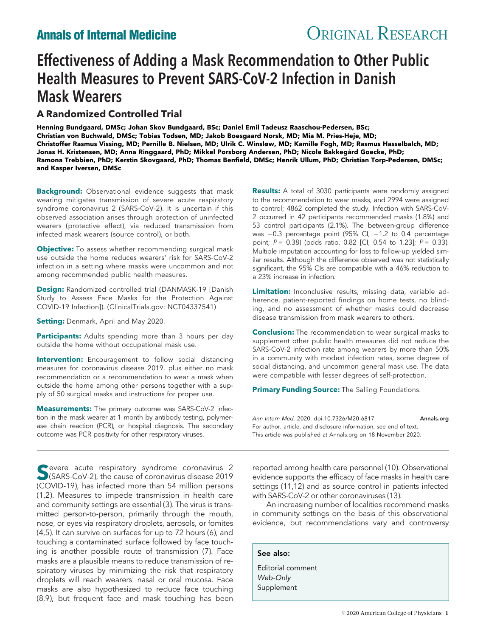# Effectiveness of Adding a Mask Recommendation to Other Public Health Measures to Prevent SARS-CoV-2 Infection in Danish Mask Wearers

## **A Randomized Controlled Trial**

**Henning Bundgaard, DMSc; Johan Skov Bundgaard, BSc; Daniel Emil Tadeusz Raaschou-Pedersen, BSc; Christian von Buchwald, DMSc; Tobias Todsen, MD; Jakob Boesgaard Norsk, MD; Mia M. Pries-Heje, MD; Christoffer Rasmus Vissing, MD; Pernille B. Nielsen, MD; Ulrik C. Winsløw, MD; Kamille Fogh, MD; Rasmus Hasselbalch, MD; Jonas H. Kristensen, MD; Anna Ringgaard, PhD; Mikkel Porsborg Andersen, PhD; Nicole Bakkegård Goecke, PhD; Ramona Trebbien, PhD; Kerstin Skovgaard, PhD; Thomas Benfield, DMSc; Henrik Ullum, PhD; Christian Torp-Pedersen, DMSc; and Kasper Iversen, DMSc**

**Background:** Observational evidence suggests that mask wearing mitigates transmission of severe acute respiratory syndrome coronavirus 2 (SARS-CoV-2). It is uncertain if this observed association arises through protection of uninfected wearers (protective effect), via reduced transmission from infected mask wearers (source control), or both.

**Objective:** To assess whether recommending surgical mask use outside the home reduces wearers' risk for SARS-CoV-2 infection in a setting where masks were uncommon and not among recommended public health measures.

**Design:** Randomized controlled trial (DANMASK-19 [Danish Study to Assess Face Masks for the Protection Against COVID-19 Infection]). (ClinicalTrials.gov: NCT04337541)

**Setting:** Denmark, April and May 2020.

**Participants:** Adults spending more than 3 hours per day outside the home without occupational mask use.

**Intervention:** Encouragement to follow social distancing measures for coronavirus disease 2019, plus either no mask recommendation or a recommendation to wear a mask when outside the home among other persons together with a supply of 50 surgical masks and instructions for proper use.

**Measurements:** The primary outcome was SARS-CoV-2 infection in the mask wearer at 1 month by antibody testing, polymerase chain reaction (PCR), or hospital diagnosis. The secondary outcome was PCR positivity for other respiratory viruses.

**S**evere acute respiratory syndrome coronavirus 2 (SARS-CoV-2), the cause of coronavirus disease 2019 (COVID-19), has infected more than 54 million persons (1,2). Measures to impede transmission in health care and community settings are essential (3). The virus is transmitted person-to-person, primarily through the mouth, nose, or eyes via respiratory droplets, aerosols, or fomites (4,5). It can survive on surfaces for up to 72 hours (6), and touching a contaminated surface followed by face touching is another possible route of transmission (7). Face masks are a plausible means to reduce transmission of respiratory viruses by minimizing the risk that respiratory droplets will reach wearers' nasal or oral mucosa. Face masks are also hypothesized to reduce face touching (8,9), but frequent face and mask touching has been

**Results:** A total of 3030 participants were randomly assigned to the recommendation to wear masks, and 2994 were assigned to control; 4862 completed the study. Infection with SARS-CoV-2 occurred in 42 participants recommended masks (1.8%) and 53 control participants (2.1%). The between-group difference was  $-0.3$  percentage point (95% Cl,  $-1.2$  to 0.4 percentage point; *P*= 0.38) (odds ratio, 0.82 [CI, 0.54 to 1.23]; *P*= 0.33). Multiple imputation accounting for loss to follow-up yielded similar results. Although the difference observed was not statistically significant, the 95% CIs are compatible with a 46% reduction to a 23% increase in infection.

**Limitation:** Inconclusive results, missing data, variable adherence, patient-reported findings on home tests, no blinding, and no assessment of whether masks could decrease disease transmission from mask wearers to others.

**Conclusion:** The recommendation to wear surgical masks to supplement other public health measures did not reduce the SARS-CoV-2 infection rate among wearers by more than 50% in a community with modest infection rates, some degree of social distancing, and uncommon general mask use. The data were compatible with lesser degrees of self-protection.

**Primary Funding Source:** The Salling Foundations.

*Ann Intern Med.* 2020. doi:10.7326/M20-6817 [Annals.org](http://www.annals.org) For author, article, and disclosure information, see end of text. This article was published at [Annals.org](http://www.annals.org) on 18 November 2020.

reported among health care personnel (10). Observational evidence supports the efficacy of face masks in health care settings (11,12) and as source control in patients infected with SARS-CoV-2 or other coronaviruses (13).

An increasing number of localities recommend masks in community settings on the basis of this observational evidence, but recommendations vary and controversy

See also: Editorial comment

Web-Only Supplement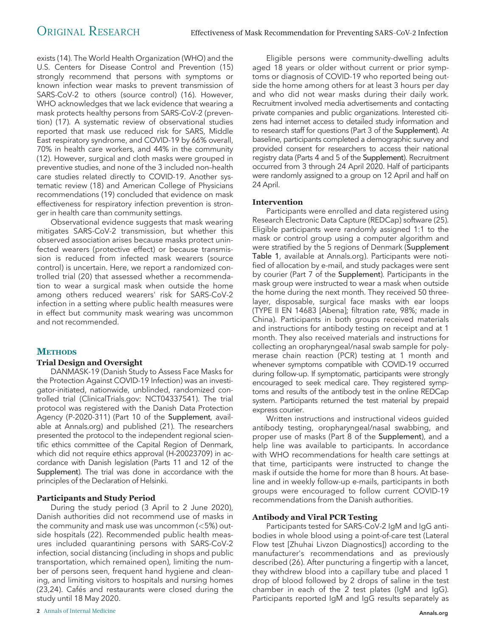exists (14). The World Health Organization (WHO) and the U.S. Centers for Disease Control and Prevention (15) strongly recommend that persons with symptoms or known infection wear masks to prevent transmission of SARS-CoV-2 to others (source control) (16). However, WHO acknowledges that we lack evidence that wearing a mask protects healthy persons from SARS-CoV-2 (prevention) (17). A systematic review of observational studies reported that mask use reduced risk for SARS, Middle East respiratory syndrome, and COVID-19 by 66% overall, 70% in health care workers, and 44% in the community (12). However, surgical and cloth masks were grouped in preventive studies, and none of the 3 included non–health care studies related directly to COVID-19. Another systematic review (18) and American College of Physicians recommendations (19) concluded that evidence on mask effectiveness for respiratory infection prevention is stronger in health care than community settings.

Observational evidence suggests that mask wearing mitigates SARS-CoV-2 transmission, but whether this observed association arises because masks protect uninfected wearers (protective effect) or because transmission is reduced from infected mask wearers (source control) is uncertain. Here, we report a randomized controlled trial (20) that assessed whether a recommendation to wear a surgical mask when outside the home among others reduced wearers' risk for SARS-CoV-2 infection in a setting where public health measures were in effect but community mask wearing was uncommon and not recommended.

### **METHODS**

#### **Trial Design and Oversight**

DANMASK-19 (Danish Study to Assess Face Masks for the Protection Against COVID-19 Infection) was an investigator-initiated, nationwide, unblinded, randomized controlled trial (ClinicalTrials.gov: NCT04337541). The trial protocol was registered with the Danish Data Protection Agency (P-2020-311) (Part 10 of the Supplement, available at [Annals.org](http://www.annals.org)) and published (21). The researchers presented the protocol to the independent regional scientific ethics committee of the Capital Region of Denmark, which did not require ethics approval (H-20023709) in accordance with Danish legislation (Parts 11 and 12 of the Supplement). The trial was done in accordance with the principles of the Declaration of Helsinki.

#### **Participants and Study Period**

During the study period (3 April to 2 June 2020), Danish authorities did not recommend use of masks in the community and mask use was uncommon (*<*5%) outside hospitals (22). Recommended public health measures included quarantining persons with SARS-CoV-2 infection, social distancing (including in shops and public transportation, which remained open), limiting the number of persons seen, frequent hand hygiene and cleaning, and limiting visitors to hospitals and nursing homes (23,24). Cafés and restaurants were closed during the study until 18 May 2020.

Eligible persons were community-dwelling adults aged 18 years or older without current or prior symptoms or diagnosis of COVID-19 who reported being outside the home among others for at least 3 hours per day and who did not wear masks during their daily work. Recruitment involved media advertisements and contacting private companies and public organizations. Interested citizens had internet access to detailed study information and to research staff for questions (Part 3 of the Supplement). At baseline, participants completed a demographic survey and provided consent for researchers to access their national registry data (Parts 4 and 5 of the Supplement). Recruitment occurred from 3 through 24 April 2020. Half of participants were randomly assigned to a group on 12 April and half on 24 April.

#### **Intervention**

Participants were enrolled and data registered using Research Electronic Data Capture (REDCap) software (25). Eligible participants were randomly assigned 1:1 to the mask or control group using a computer algorithm and were stratified by the 5 regions of Denmark (Supplement Table 1, available at [Annals.org\)](http://www.annals.org). Participants were notified of allocation by e-mail, and study packages were sent by courier (Part 7 of the Supplement). Participants in the mask group were instructed to wear a mask when outside the home during the next month. They received 50 threelayer, disposable, surgical face masks with ear loops (TYPE II EN 14683 [Abena]; filtration rate, 98%; made in China). Participants in both groups received materials and instructions for antibody testing on receipt and at 1 month. They also received materials and instructions for collecting an oropharyngeal/nasal swab sample for polymerase chain reaction (PCR) testing at 1 month and whenever symptoms compatible with COVID-19 occurred during follow-up. If symptomatic, participants were strongly encouraged to seek medical care. They registered symptoms and results of the antibody test in the online REDCap system. Participants returned the test material by prepaid express courier.

Written instructions and instructional videos guided antibody testing, oropharyngeal/nasal swabbing, and proper use of masks (Part 8 of the Supplement), and a help line was available to participants. In accordance with WHO recommendations for health care settings at that time, participants were instructed to change the mask if outside the home for more than 8 hours. At baseline and in weekly follow-up e-mails, participants in both groups were encouraged to follow current COVID-19 recommendations from the Danish authorities.

#### **Antibody and Viral PCR Testing**

Participants tested for SARS-CoV-2 IgM and IgG antibodies in whole blood using a point-of-care test (Lateral Flow test [Zhuhai Livzon Diagnostics]) according to the manufacturer's recommendations and as previously described (26). After puncturing a fingertip with a lancet, they withdrew blood into a capillary tube and placed 1 drop of blood followed by 2 drops of saline in the test chamber in each of the 2 test plates (IgM and IgG). Participants reported IgM and IgG results separately as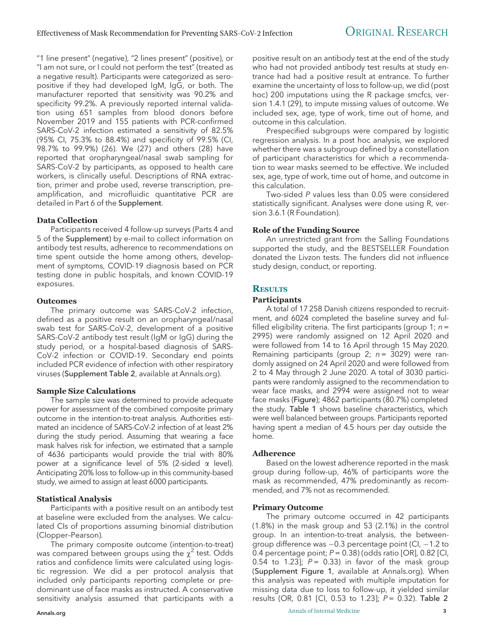"1 line present" (negative), "2 lines present" (positive), or "I am not sure, or I could not perform the test" (treated as a negative result). Participants were categorized as seropositive if they had developed IgM, IgG, or both. The manufacturer reported that sensitivity was 90.2% and specificity 99.2%. A previously reported internal validation using 651 samples from blood donors before November 2019 and 155 patients with PCR-confirmed SARS-CoV-2 infection estimated a sensitivity of 82.5% (95% CI, 75.3% to 88.4%) and specificity of 99.5% (CI, 98.7% to 99.9%) (26). We (27) and others (28) have reported that oropharyngeal/nasal swab sampling for SARS-CoV-2 by participants, as opposed to health care workers, is clinically useful. Descriptions of RNA extraction, primer and probe used, reverse transcription, preamplification, and microfluidic quantitative PCR are detailed in Part 6 of the Supplement.

#### **Data Collection**

Participants received 4 follow-up surveys (Parts 4 and 5 of the Supplement) by e-mail to collect information on antibody test results, adherence to recommendations on time spent outside the home among others, development of symptoms, COVID-19 diagnosis based on PCR testing done in public hospitals, and known COVID-19 exposures.

#### **Outcomes**

The primary outcome was SARS-CoV-2 infection, defined as a positive result on an oropharyngeal/nasal swab test for SARS-CoV-2, development of a positive SARS-CoV-2 antibody test result (IgM or IgG) during the study period, or a hospital-based diagnosis of SARS-CoV-2 infection or COVID-19. Secondary end points included PCR evidence of infection with other respiratory viruses (Supplement Table 2, available at [Annals.org](http://www.annals.org)).

#### **Sample Size Calculations**

The sample size was determined to provide adequate power for assessment of the combined composite primary outcome in the intention-to-treat analysis. Authorities estimated an incidence of SARS-CoV-2 infection of at least 2% during the study period. Assuming that wearing a face mask halves risk for infection, we estimated that a sample of 4636 participants would provide the trial with 80% power at a significance level of 5% (2-sided  $\alpha$  level). Anticipating 20% loss to follow-up in this community-based study, we aimed to assign at least 6000 participants.

#### **Statistical Analysis**

Participants with a positive result on an antibody test at baseline were excluded from the analyses. We calculated CIs of proportions assuming binomial distribution (Clopper–Pearson).

The primary composite outcome (intention-to-treat) was compared between groups using the  $\chi^2$  test. Odds ratios and confidence limits were calculated using logistic regression. We did a per protocol analysis that included only participants reporting complete or predominant use of face masks as instructed. A conservative sensitivity analysis assumed that participants with a

Prespecified subgroups were compared by logistic regression analysis. In a post hoc analysis, we explored whether there was a subgroup defined by a constellation of participant characteristics for which a recommendation to wear masks seemed to be effective. We included sex, age, type of work, time out of home, and outcome in this calculation.

Two-sided *P* values less than 0.05 were considered statistically significant. Analyses were done using R, version 3.6.1 (R Foundation).

#### **Role of the Funding Source**

An unrestricted grant from the Salling Foundations supported the study, and the BESTSELLER Foundation donated the Livzon tests. The funders did not influence study design, conduct, or reporting.

#### **RESULTS**

#### **Participants**

A total of 17 258 Danish citizens responded to recruitment, and 6024 completed the baseline survey and fulfilled eligibility criteria. The first participants (group 1; *n*= 2995) were randomly assigned on 12 April 2020 and were followed from 14 to 16 April through 15 May 2020. Remaining participants (group 2; *n*= 3029) were randomly assigned on 24 April 2020 and were followed from 2 to 4 May through 2 June 2020. A total of 3030 participants were randomly assigned to the recommendation to wear face masks, and 2994 were assigned not to wear face masks (Figure); 4862 participants (80.7%) completed the study. Table 1 shows baseline characteristics, which were well balanced between groups. Participants reported having spent a median of 4.5 hours per day outside the home.

#### **Adherence**

Based on the lowest adherence reported in the mask group during follow-up, 46% of participants wore the mask as recommended, 47% predominantly as recommended, and 7% not as recommended.

#### **Primary Outcome**

The primary outcome occurred in 42 participants (1.8%) in the mask group and 53 (2.1%) in the control group. In an intention-to-treat analysis, the betweengroup difference was  $-0.3$  percentage point (CI,  $-1.2$  to 0.4 percentage point; *P*= 0.38) (odds ratio [OR], 0.82 [CI, 0.54 to 1.23];  $P = 0.33$ ) in favor of the mask group (Supplement Figure 1, available at [Annals.org\)](http://www.annals.org). When this analysis was repeated with multiple imputation for missing data due to loss to follow-up, it yielded similar results (OR, 0.81 [CI, 0.53 to 1.23]; *P*= 0.32). Table 2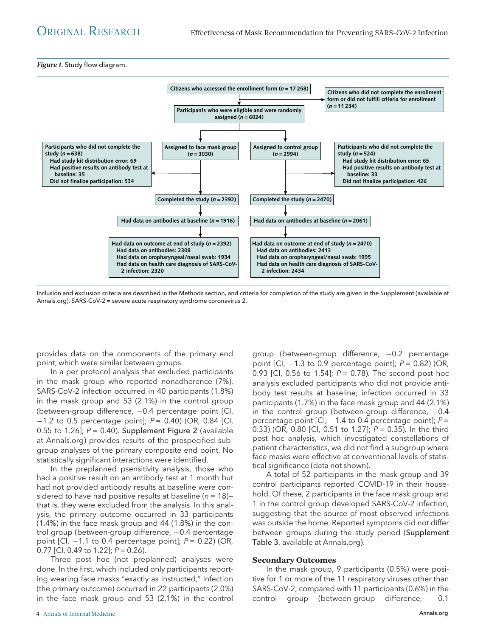#### *Figure 1.* Study flow diagram.



Inclusion and exclusion criteria are described in the Methods section, and criteria for completion of the study are given in the Supplement (available at [Annals.org\)](http://www.annals.org). SARS-CoV-2 = severe acute respiratory syndrome coronavirus 2.

provides data on the components of the primary end point, which were similar between groups.

In a per protocol analysis that excluded participants in the mask group who reported nonadherence (7%), SARS-CoV-2 infection occurred in 40 participants (1.8%) in the mask group and 53 (2.1%) in the control group (between-group difference,  $-0.4$  percentage point [CI, 1.2 to 0.5 percentage point]; *P*= 0.40) (OR, 0.84 [CI, 0.55 to 1.26]; *P*= 0.40). Supplement Figure 2 (available at [Annals.org\)](http://www.annals.org) provides results of the prespecified subgroup analyses of the primary composite end point. No statistically significant interactions were identified.

In the preplanned psensitivity analysis, those who had a positive result on an antibody test at 1 month but had not provided antibody results at baseline were considered to have had positive results at baseline (*n*= 18) that is, they were excluded from the analysis. In this analysis, the primary outcome occurred in 33 participants (1.4%) in the face mask group and 44 (1.8%) in the control group (between-group difference,  $-0.4$  percentage point [CI, 1.1 to 0.4 percentage point]; *P*= 0.22) (OR, 0.77 [CI, 0.49 to 1.22]; *P*= 0.26).

Three post hoc (not preplanned) analyses were done. In the first, which included only participants reporting wearing face masks "exactly as instructed," infection (the primary outcome) occurred in 22 participants (2.0%) in the face mask group and 53 (2.1%) in the control

group (between-group difference,  $-0.2$  percentage point [CI, 1.3 to 0.9 percentage point]; *P*= 0.82) (OR, 0.93 [CI, 0.56 to 1.54]; *P*= 0.78). The second post hoc analysis excluded participants who did not provide antibody test results at baseline; infection occurred in 33 participants (1.7%) in the face mask group and 44 (2.1%) in the control group (between-group difference,  $-0.4$ percentage point  $[Cl, -1.4$  to 0.4 percentage point];  $P=$ 0.33) (OR, 0.80 [CI, 0.51 to 1.27]; *P*= 0.35). In the third post hoc analysis, which investigated constellations of patient characteristics, we did not find a subgroup where face masks were effective at conventional levels of statistical significance (data not shown).

A total of 52 participants in the mask group and 39 control participants reported COVID-19 in their household. Of these, 2 participants in the face mask group and 1 in the control group developed SARS-CoV-2 infection, suggesting that the source of most observed infections was outside the home. Reported symptoms did not differ between groups during the study period (Supplement Table 3, available at [Annals.org\)](http://www.annals.org).

#### **Secondary Outcomes**

In the mask group, 9 participants (0.5%) were positive for 1 or more of the 11 respiratory viruses other than SARS-CoV-2, compared with 11 participants (0.6%) in the  $control$  group (between-group difference,  $-0.1$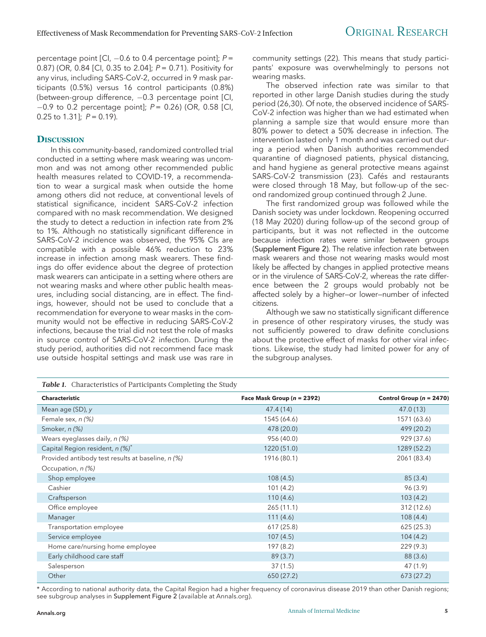percentage point  $[Cl, -0.6$  to 0.4 percentage point];  $P=$ 0.87) (OR, 0.84 [CI, 0.35 to 2.04]; *P*= 0.71). Positivity for any virus, including SARS-CoV-2, occurred in 9 mask participants (0.5%) versus 16 control participants (0.8%) (between-group difference,  $-0.3$  percentage point  $|Cl$ , 0.9 to 0.2 percentage point]; *P*= 0.26) (OR, 0.58 [CI, 0.25 to 1.31]; *P*= 0.19).

#### **DISCUSSION**

In this community-based, randomized controlled trial conducted in a setting where mask wearing was uncommon and was not among other recommended public health measures related to COVID-19, a recommendation to wear a surgical mask when outside the home among others did not reduce, at conventional levels of statistical significance, incident SARS-CoV-2 infection compared with no mask recommendation. We designed the study to detect a reduction in infection rate from 2% to 1%. Although no statistically significant difference in SARS-CoV-2 incidence was observed, the 95% CIs are compatible with a possible 46% reduction to 23% increase in infection among mask wearers. These findings do offer evidence about the degree of protection mask wearers can anticipate in a setting where others are not wearing masks and where other public health measures, including social distancing, are in effect. The findings, however, should not be used to conclude that a recommendation for everyone to wear masks in the community would not be effective in reducing SARS-CoV-2 infections, because the trial did not test the role of masks in source control of SARS-CoV-2 infection. During the study period, authorities did not recommend face mask use outside hospital settings and mask use was rare in

*Table 1.* Characteristics of Participants Completing the Study

community settings (22). This means that study participants' exposure was overwhelmingly to persons not wearing masks.

The observed infection rate was similar to that reported in other large Danish studies during the study period (26,30). Of note, the observed incidence of SARS-CoV-2 infection was higher than we had estimated when planning a sample size that would ensure more than 80% power to detect a 50% decrease in infection. The intervention lasted only 1 month and was carried out during a period when Danish authorities recommended quarantine of diagnosed patients, physical distancing, and hand hygiene as general protective means against SARS-CoV-2 transmission (23). Cafés and restaurants were closed through 18 May, but follow-up of the second randomized group continued through 2 June.

The first randomized group was followed while the Danish society was under lockdown. Reopening occurred (18 May 2020) during follow-up of the second group of participants, but it was not reflected in the outcome because infection rates were similar between groups (Supplement Figure 2). The relative infection rate between mask wearers and those not wearing masks would most likely be affected by changes in applied protective means or in the virulence of SARS-CoV-2, whereas the rate difference between the 2 groups would probably not be affected solely by a higher—or lower—number of infected citizens.

Although we saw no statistically significant difference in presence of other respiratory viruses, the study was not sufficiently powered to draw definite conclusions about the protective effect of masks for other viral infections. Likewise, the study had limited power for any of the subgroup analyses.

| <b>Characteristic</b>                             | Face Mask Group ( $n = 2392$ ) | Control Group ( $n = 2470$ ) |
|---------------------------------------------------|--------------------------------|------------------------------|
| Mean age $(SD)$ , y                               | 47.4 (14)                      | 47.0(13)                     |
| Female sex, n (%)                                 | 1545 (64.6)                    | 1571 (63.6)                  |
| Smoker, n (%)                                     | 478 (20.0)                     | 499 (20.2)                   |
| Wears eyeglasses daily, n (%)                     | 956 (40.0)                     | 929 (37.6)                   |
| Capital Region resident, n (%)*                   | 1220 (51.0)                    | 1289 (52.2)                  |
| Provided antibody test results at baseline, n (%) | 1916 (80.1)                    | 2061 (83.4)                  |
| Occupation, n (%)                                 |                                |                              |
| Shop employee                                     | 108(4.5)                       | 85(3.4)                      |
| Cashier                                           | 101(4.2)                       | 96(3.9)                      |
| Craftsperson                                      | 110(4.6)                       | 103(4.2)                     |
| Office employee                                   | 265(11.1)                      | 312(12.6)                    |
| Manager                                           | 111(4.6)                       | 108(4.4)                     |
| Transportation employee                           | 617(25.8)                      | 625(25.3)                    |
| Service employee                                  | 107(4.5)                       | 104(4.2)                     |
| Home care/nursing home employee                   | 197 (8.2)                      | 229(9.3)                     |
| Early childhood care staff                        | 89(3.7)                        | 88 (3.6)                     |
| Salesperson                                       | 37(1.5)                        | 47 (1.9)                     |
| Other                                             | 650 (27.2)                     | 673 (27.2)                   |

\* According to national authority data, the Capital Region had a higher frequency of coronavirus disease 2019 than other Danish regions; see subgroup analyses in Supplement Figure 2 (available at [Annals.org\)](http://www.annals.org).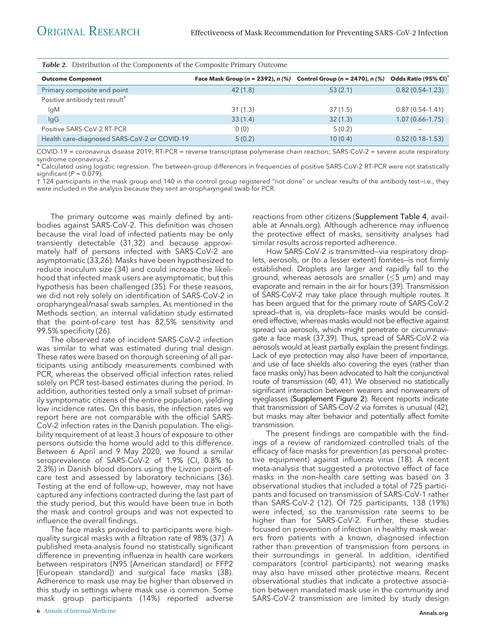| <b>Table 2.</b> Distribution of the Components of the Composite Primary Outcome |                                                                               |         |                                  |  |
|---------------------------------------------------------------------------------|-------------------------------------------------------------------------------|---------|----------------------------------|--|
| <b>Outcome Component</b>                                                        | Face Mask Group ( $n = 2392$ ), $n$ (%) Control Group ( $n = 2470$ ), $n$ (%) |         | Odds Ratio (95% CI) <sup>*</sup> |  |
| Primary composite end point                                                     | 42(1.8)                                                                       | 53(2.1) | $0.82(0.54-1.23)$                |  |
| Positive antibody test result <sup>†</sup>                                      |                                                                               |         |                                  |  |
| lgM                                                                             | 31(1.3)                                                                       | 37(1.5) | $0.87(0.54-1.41)$                |  |
| IqG                                                                             | 33(1.4)                                                                       | 32(1.3) | $1.07(0.66 - 1.75)$              |  |
| Positive SARS-CoV-2 RT-PCR                                                      | 0(0)                                                                          | 5(0.2)  |                                  |  |
| Health care-diagnosed SARS-CoV-2 or COVID-19                                    | 5(0.2)                                                                        | 10(0.4) | $0.52(0.18 - 1.53)$              |  |

COVID-19 = coronavirus disease 2019; RT-PCR = reverse transcriptase polymerase chain reaction; SARS-CoV-2 = severe acute respiratory syndrome coronavirus 2.

\* Calculated using logistic regression. The between-group differences in frequencies of positive SARS-CoV-2 RT-PCR were not statistically significant (*P* = 0.079).

† 124 participants in the mask group and 140 in the control group registered "not done" or unclear results of the antibody test—i.e., they were included in the analysis because they sent an oropharyngeal swab for PCR.

The primary outcome was mainly defined by antibodies against SARS-CoV-2. This definition was chosen because the viral load of infected patients may be only transiently detectable (31,32) and because approximately half of persons infected with SARS-CoV-2 are asymptomatic (33,26). Masks have been hypothesized to reduce inoculum size (34) and could increase the likelihood that infected mask users are asymptomatic, but this hypothesis has been challenged (35). For these reasons, we did not rely solely on identification of SARS-CoV-2 in oropharyngeal/nasal swab samples. As mentioned in the Methods section, an internal validation study estimated that the point-of-care test has 82.5% sensitivity and 99.5% specificity (26).

The observed rate of incident SARS-CoV-2 infection was similar to what was estimated during trial design. These rates were based on thorough screening of all participants using antibody measurements combined with PCR, whereas the observed official infection rates relied solely on PCR test–based estimates during the period. In addition, authorities tested only a small subset of primarily symptomatic citizens of the entire population, yielding low incidence rates. On this basis, the infection rates we report here are not comparable with the official SARS-CoV-2 infection rates in the Danish population. The eligibility requirement of at least 3 hours of exposure to other persons outside the home would add to this difference. Between 6 April and 9 May 2020, we found a similar seroprevalence of SARS-CoV-2 of 1.9% (CI, 0.8% to 2.3%) in Danish blood donors using the Livzon point-ofcare test and assessed by laboratory technicians (36). Testing at the end of follow-up, however, may not have captured any infections contracted during the last part of the study period, but this would have been true in both the mask and control groups and was not expected to influence the overall findings.

The face masks provided to participants were highquality surgical masks with a filtration rate of 98% (37). A published meta-analysis found no statistically significant difference in preventing influenza in health care workers between respirators (N95 [American standard] or FFP2 [European standard]) and surgical face masks (38). Adherence to mask use may be higher than observed in this study in settings where mask use is common. Some mask group participants (14%) reported adverse reactions from other citizens (Supplement Table 4, available at [Annals.org\)](http://www.annals.org). Although adherence may influence the protective effect of masks, sensitivity analyses had similar results across reported adherence.

How SARS-CoV-2 is transmitted—via respiratory droplets, aerosols, or (to a lesser extent) fomites—is not firmly established. Droplets are larger and rapidly fall to the ground, whereas aerosols are smaller ( $\leq$ 5  $\mu$ m) and may evaporate and remain in the air for hours (39). Transmission of SARS-CoV-2 may take place through multiple routes. It has been argued that for the primary route of SARS-CoV-2 spread—that is, via droplets—face masks would be considered effective, whereas masks would not be effective against spread via aerosols, which might penetrate or circumnavigate a face mask (37,39). Thus, spread of SARS-CoV-2 via aerosols would at least partially explain the present findings. Lack of eye protection may also have been of importance, and use of face shields also covering the eyes (rather than face masks only) has been advocated to halt the conjunctival route of transmission (40, 41). We observed no statistically significant interaction between wearers and nonwearers of eyeglasses (Supplement Figure 2). Recent reports indicate that transmission of SARS-CoV-2 via fomites is unusual (42), but masks may alter behavior and potentially affect fomite transmission.

The present findings are compatible with the findings of a review of randomized controlled trials of the efficacy of face masks for prevention (as personal protective equipment) against influenza virus (18). A recent meta-analysis that suggested a protective effect of face masks in the non–health care setting was based on 3 observational studies that included a total of 725 participants and focused on transmission of SARS-CoV-1 rather than SARS-CoV-2 (12). Of 725 participants, 138 (19%) were infected, so the transmission rate seems to be higher than for SARS-CoV-2. Further, these studies focused on prevention of infection in healthy mask wearers from patients with a known, diagnosed infection rather than prevention of transmission from persons in their surroundings in general. In addition, identified comparators (control participants) not wearing masks may also have missed other protective means. Recent observational studies that indicate a protective association between mandated mask use in the community and SARS-CoV-2 transmission are limited by study design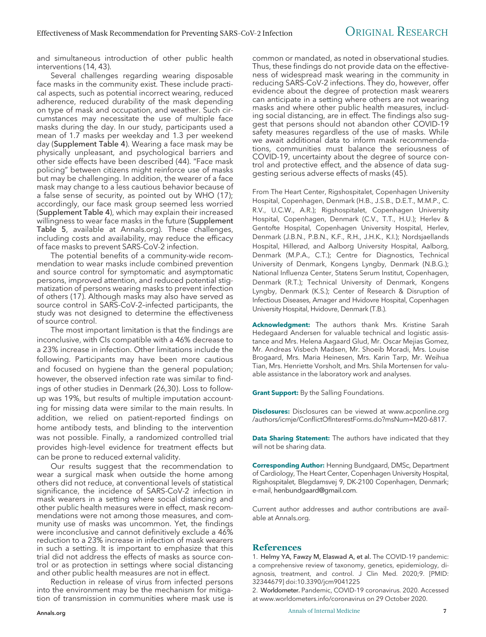and simultaneous introduction of other public health interventions (14, 43).

Several challenges regarding wearing disposable face masks in the community exist. These include practical aspects, such as potential incorrect wearing, reduced adherence, reduced durability of the mask depending on type of mask and occupation, and weather. Such circumstances may necessitate the use of multiple face masks during the day. In our study, participants used a mean of 1.7 masks per weekday and 1.3 per weekend day (Supplement Table 4). Wearing a face mask may be physically unpleasant, and psychological barriers and other side effects have been described (44). "Face mask policing" between citizens might reinforce use of masks but may be challenging. In addition, the wearer of a face mask may change to a less cautious behavior because of a false sense of security, as pointed out by WHO (17); accordingly, our face mask group seemed less worried (Supplement Table 4), which may explain their increased willingness to wear face masks in the future (Supplement Table 5, available at [Annals.org](http://www.annals.org)). These challenges, including costs and availability, may reduce the efficacy of face masks to prevent SARS-CoV-2 infection.

The potential benefits of a community-wide recommendation to wear masks include combined prevention and source control for symptomatic and asymptomatic persons, improved attention, and reduced potential stigmatization of persons wearing masks to prevent infection of others (17). Although masks may also have served as source control in SARS-CoV-2–infected participants, the study was not designed to determine the effectiveness of source control.

The most important limitation is that the findings are inconclusive, with CIs compatible with a 46% decrease to a 23% increase in infection. Other limitations include the following. Participants may have been more cautious and focused on hygiene than the general population; however, the observed infection rate was similar to findings of other studies in Denmark (26,30). Loss to followup was 19%, but results of multiple imputation accounting for missing data were similar to the main results. In addition, we relied on patient-reported findings on home antibody tests, and blinding to the intervention was not possible. Finally, a randomized controlled trial provides high-level evidence for treatment effects but can be prone to reduced external validity.

Our results suggest that the recommendation to wear a surgical mask when outside the home among others did not reduce, at conventional levels of statistical significance, the incidence of SARS-CoV-2 infection in mask wearers in a setting where social distancing and other public health measures were in effect, mask recommendations were not among those measures, and community use of masks was uncommon. Yet, the findings were inconclusive and cannot definitively exclude a 46% reduction to a 23% increase in infection of mask wearers in such a setting. It is important to emphasize that this trial did not address the effects of masks as source control or as protection in settings where social distancing and other public health measures are not in effect.

Reduction in release of virus from infected persons into the environment may be the mechanism for mitigation of transmission in communities where mask use is

common or mandated, as noted in observational studies. Thus, these findings do not provide data on the effectiveness of widespread mask wearing in the community in reducing SARS-CoV-2 infections. They do, however, offer evidence about the degree of protection mask wearers can anticipate in a setting where others are not wearing masks and where other public health measures, including social distancing, are in effect. The findings also suggest that persons should not abandon other COVID-19 safety measures regardless of the use of masks. While we await additional data to inform mask recommendations, communities must balance the seriousness of COVID-19, uncertainty about the degree of source control and protective effect, and the absence of data suggesting serious adverse effects of masks (45).

From The Heart Center, Rigshospitalet, Copenhagen University Hospital, Copenhagen, Denmark (H.B., J.S.B., D.E.T., M.M.P., C. R.V., U.C.W., A.R.); Rigshospitalet, Copenhagen University Hospital, Copenhagen, Denmark (C.V., T.T., H.U.); Herlev & Gentofte Hospital, Copenhagen University Hospital, Herlev, Denmark (J.B.N., P.B.N., K.F., R.H., J.H.K., K.I.); Nordsjaellands Hospital, Hillerød, and Aalborg University Hospital, Aalborg, Denmark (M.P.A., C.T.); Centre for Diagnostics, Technical University of Denmark, Kongens Lyngby, Denmark (N.B.G.); National Influenza Center, Statens Serum Institut, Copenhagen, Denmark (R.T.); Technical University of Denmark, Kongens Lyngby, Denmark (K.S.); Center of Research & Disruption of Infectious Diseases, Amager and Hvidovre Hospital, Copenhagen University Hospital, Hvidovre, Denmark (T.B.).

**Acknowledgment:** The authors thank Mrs. Kristine Sarah Hedegaard Andersen for valuable technical and logistic assistance and Mrs. Helena Aagaard Glud, Mr. Oscar Mejias Gomez, Mr. Andreas Visbech Madsen, Mr. Shoeib Moradi, Mrs. Louise Brogaard, Mrs. Maria Heinesen, Mrs. Karin Tarp, Mr. Weihua Tian, Mrs. Henriette Vorsholt, and Mrs. Shila Mortensen for valuable assistance in the laboratory work and analyses.

**Grant Support:** By the Salling Foundations.

**Disclosures:** Disclosures can be viewed at [www.acponline.org](http://www.acponline.org/authors/icmje/ConflictOfInterestForms.do?msNum=M20-6817) [/authors/icmje/ConflictOfInterestForms.do?msNum=M20-6817](http://www.acponline.org/authors/icmje/ConflictOfInterestForms.do?msNum=M20-6817).

**Data Sharing Statement:** The authors have indicated that they will not be sharing data.

**Corresponding Author:** Henning Bundgaard, DMSc, Department of Cardiology, The Heart Center, Copenhagen University Hospital, Rigshospitalet, Blegdamsvej 9, DK-2100 Copenhagen, Denmark; e-mail, henbundgaard@gmail.com.

Current author addresses and author contributions are available at [Annals.org](http://www.annals.org).

#### **References**

1. Helmy YA, Fawzy M, Elaswad A, et al. The COVID-19 pandemic: a comprehensive review of taxonomy, genetics, epidemiology, diagnosis, treatment, and control. J Clin Med. 2020;9. [PMID: 32344679] doi:10.3390/jcm9041225

2. Worldometer. Pandemic, COVID-19 coronavirus. 2020. Accessed at [www.worldometers.info/coronavirus](http://www.worldometers.info/coronavirus) on 29 October 2020.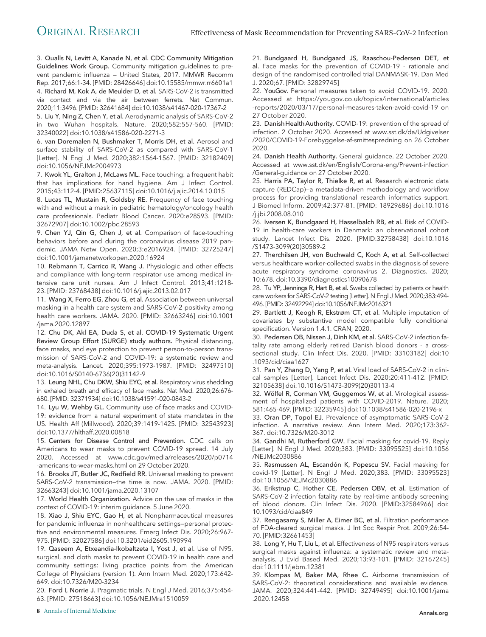3. Qualls N, Levitt A, Kanade N, et al. CDC Community Mitigation Guidelines Work Group. Community mitigation guidelines to prevent pandemic influenza — United States, 2017. MMWR Recomm Rep. 2017;66:1-34. [PMID: 28426646] doi:10.15585/mmwr.rr6601a1 4. Richard M, Kok A, de Meulder D, et al. SARS-CoV-2 is transmitted via contact and via the air between ferrets. Nat Commun. 2020;11:3496. [PMID: 32641684] doi:10.1038/s41467-020-17367-2

5. Liu Y, Ning Z, Chen Y, et al. Aerodynamic analysis of SARS-CoV-2 in two Wuhan hospitals. Nature. 2020;582:557-560. [PMID: 32340022] doi:10.1038/s41586-020-2271-3

6. van Doremalen N, Bushmaker T, Morris DH, et al. Aerosol and surface stability of SARS-CoV-2 as compared with SARS-CoV-1 [Letter]. N Engl J Med. 2020;382:1564-1567. [PMID: 32182409] doi:10.1056/NEJMc2004973

7. Kwok YL, Gralton J, McLaws ML. Face touching: a frequent habit that has implications for hand hygiene. Am J Infect Control. 2015;43:112-4. [PMID:25637115] doi:10.1016/j.ajic.2014.10.015

8. Lucas TL, Mustain R, Goldsby RE. Frequency of face touching with and without a mask in pediatric hematology/oncology health care professionals. Pediatr Blood Cancer. 2020:e28593. [PMID: 32672907] doi:10.1002/pbc.28593

9. Chen YJ, Qin G, Chen J, et al. Comparison of face-touching behaviors before and during the coronavirus disease 2019 pandemic. JAMA Netw Open. 2020;3:e2016924. [PMID: 32725247] doi:10.1001/jamanetworkopen.2020.16924

10. Rebmann T, Carrico R, Wang J. Physiologic and other effects and compliance with long-term respirator use among medical intensive care unit nurses. Am J Infect Control. 2013;41:1218- 23. [PMID: 23768438] doi:10.1016/j.ajic.2013.02.017

11. Wang X, Ferro EG, Zhou G, et al. Association between universal masking in a health care system and SARS-CoV-2 positivity among health care workers. JAMA. 2020. [PMID: 32663246] doi:10.1001 /jama.2020.12897

12. Chu DK, Akl EA, Duda S, et al. COVID-19 Systematic Urgent Review Group Effort (SURGE) study authors. Physical distancing, face masks, and eye protection to prevent person-to-person transmission of SARS-CoV-2 and COVID-19: a systematic review and meta-analysis. Lancet. 2020;395:1973-1987. [PMID: 32497510] doi:10.1016/S0140-6736(20)31142-9

13. Leung NHL, Chu DKW, Shiu EYC, et al. Respiratory virus shedding in exhaled breath and efficacy of face masks. Nat Med. 2020;26:676- 680. [PMID: 32371934] doi:10.1038/s41591-020-0843-2

14. Lyu W, Wehby GL. Community use of face masks and COVID-19: evidence from a natural experiment of state mandates in the US. Health Aff (Millwood). 2020;39:1419-1425. [PMID: 32543923] doi:10.1377/hlthaff.2020.00818

15. Centers for Disease Control and Prevention. CDC calls on Americans to wear masks to prevent COVID-19 spread. 14 July 2020. Accessed at [www.cdc.gov/media/releases/2020/p0714](http://www.cdc.gov/media/releases/2020/p0714-americans-to-wear-masks.html) [-americans-to-wear-masks.html](http://www.cdc.gov/media/releases/2020/p0714-americans-to-wear-masks.html) on 29 October 2020.

16. Brooks JT, Butler JC, Redfield RR. Universal masking to prevent SARS-CoV-2 transmission—the time is now. JAMA. 2020. [PMID: 32663243] doi:10.1001/jama.2020.13107

17. World Health Organization. Advice on the use of masks in the context of COVID-19: interim guidance. 5 June 2020.

18. Xiao J, Shiu EYC, Gao H, et al. Nonpharmaceutical measures for pandemic influenza in nonhealthcare settings—personal protective and environmental measures. Emerg Infect Dis. 2020;26:967- 975. [PMID: 32027586] doi:10.3201/eid2605.190994

19. Qaseem A, Etxeandia-Ikobaltzeta I, Yost J, et al. Use of N95, surgical, and cloth masks to prevent COVID-19 in health care and community settings: living practice points from the American College of Physicians (version 1). Ann Intern Med. 2020;173:642- 649. doi:10.7326/M20-3234

20. Ford I, Norrie J. Pragmatic trials. N Engl J Med. 2016;375:454- 63. [PMID: 27518663] doi:10.1056/NEJMra1510059

21. Bundgaard H, Bundgaard JS, Raaschou-Pedersen DET, et al. Face masks for the prevention of COVID-19 - rationale and design of the randomised controlled trial DANMASK-19. Dan Med J. 2020;67. [PMID: 32829745]

22. YouGov. Personal measures taken to avoid COVID-19. 2020. Accessed at [https://yougov.co.uk/topics/international/articles](https://yougov.co.uk/topics/international/articles-reports/2020/03/17/personal-measures-taken-avoid-covid-19) [-reports/2020/03/17/personal-measures-taken-avoid-covid-19](https://yougov.co.uk/topics/international/articles-reports/2020/03/17/personal-measures-taken-avoid-covid-19) on 27 October 2020.

23. Danish Health Authority. COVID-19: prevention of the spread of infection. 2 October 2020. Accessed at [www.sst.dk/da/Udgivelser](http://www.sst.dk/da/Udgivelser/2020/COVID-19-Forebyggelse-af-smittespredning) [/2020/COVID-19-Forebyggelse-af-smittespredning](http://www.sst.dk/da/Udgivelser/2020/COVID-19-Forebyggelse-af-smittespredning) on 26 October 2020.

24. Danish Health Authority. General guidance. 22 October 2020. Accessed at [www.sst.dk/en/English/Corona-eng/Prevent-infection](http://www.sst.dk/en/English/Corona-eng/Prevent-infection/General-guidance) [/General-guidance](http://www.sst.dk/en/English/Corona-eng/Prevent-infection/General-guidance) on 27 October 2020.

25. Harris PA, Taylor R, Thielke R, et al. Research electronic data capture (REDCap)—a metadata-driven methodology and workflow process for providing translational research informatics support. J Biomed Inform. 2009;42:377-81. [PMID: 18929686] doi:10.1016 /j.jbi.2008.08.010

26. Iversen K, Bundgaard H, Hasselbalch RB, et al. Risk of COVID-19 in health-care workers in Denmark: an observational cohort study. Lancet Infect Dis. 2020. [PMID:32758438] doi:10.1016 /S1473-3099(20)30589-2

27. Therchilsen JH, von Buchwald C, Koch A, et al. Self-collected versus healthcare worker-collected swabs in the diagnosis of severe acute respiratory syndrome coronavirus 2. Diagnostics. 2020; 10:678. doi:10.3390/diagnostics10090678

28. Tu YP, Jennings R, Hart B, et al. Swabs collected by patients or health care workers for SARS-CoV-2 testing [Letter]. N Engl J Med. 2020;383:494- 496. [PMID: 32492294] doi:10.1056/NEJMc2016321

29. Bartlett J, Keogh R, Ekstrøm CT, et al. Multiple imputation of covariates by substantive model compatible fully conditional specification. Version 1.4.1. CRAN; 2020.

30. Pedersen OB, Nissen J, Dinh KM, et al. SARS-CoV-2 infection fatality rate among elderly retired Danish blood donors - a crosssectional study. Clin Infect Dis. 2020. [PMID: 33103182] doi:10 .1093/cid/ciaa1627

31. Pan Y, Zhang D, Yang P, et al. Viral load of SARS-CoV-2 in clinical samples [Letter]. Lancet Infect Dis. 2020;20:411-412. [PMID: 32105638] doi:10.1016/S1473-3099(20)30113-4

32. Wölfel R, Corman VM, Guggemos W, et al. Virological assessment of hospitalized patients with COVID-2019. Nature. 2020; 581:465-469. [PMID: 32235945] doi:10.1038/s41586-020-2196-x

33. Oran DP, Topol EJ. Prevalence of asymptomatic SARS-CoV-2 infection. A narrative review. Ann Intern Med. 2020;173:362- 367. doi:10.7326/M20-3012

34. Gandhi M, Rutherford GW. Facial masking for covid-19. Reply [Letter]. N Engl J Med. 2020;383. [PMID: 33095525] doi:10.1056 /NEJMc2030886

35. Rasmussen AL, Escandón K, Popescu SV. Facial masking for covid-19 [Letter]. N Engl J Med. 2020;383. [PMID: 33095523] doi:10.1056/NEJMc2030886

36. Erikstrup C, Hother CE, Pedersen OBV, et al. Estimation of SARS-CoV-2 infection fatality rate by real-time antibody screening of blood donors. Clin Infect Dis. 2020. [PMID:32584966] doi: 10.1093/cid/ciaa849

37. Rengasamy S, Miller A, Eimer BC, et al. Filtration performance of FDA-cleared surgical masks. J Int Soc Respir Prot. 2009;26:54- 70. [PMID:32661453]

38. Long Y, Hu T, Liu L, et al. Effectiveness of N95 respirators versus surgical masks against influenza: a systematic review and metaanalysis. J Evid Based Med. 2020;13:93-101. [PMID: 32167245] doi:10.1111/jebm.12381

39. Klompas M, Baker MA, Rhee C. Airborne transmission of SARS-CoV-2: theoretical considerations and available evidence. JAMA. 2020;324:441-442. [PMID: 32749495] doi:10.1001/jama .2020.12458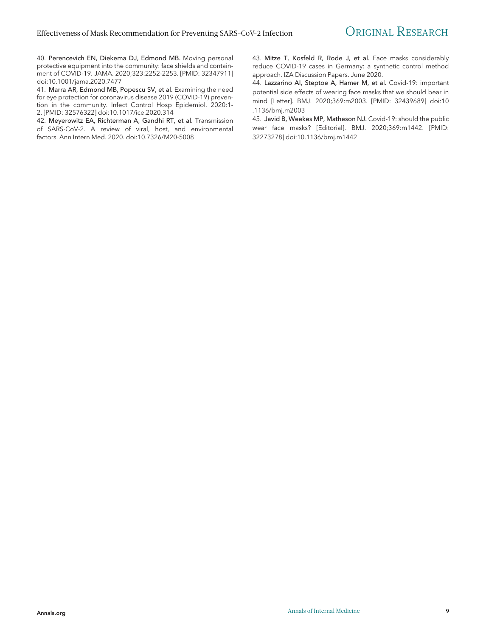40. Perencevich EN, Diekema DJ, Edmond MB. Moving personal protective equipment into the community: face shields and containment of COVID-19. JAMA. 2020;323:2252-2253. [PMID: 32347911] doi:10.1001/jama.2020.7477

41. Marra AR, Edmond MB, Popescu SV, et al. Examining the need for eye protection for coronavirus disease 2019 (COVID-19) prevention in the community. Infect Control Hosp Epidemiol. 2020:1- 2. [PMID: 32576322] doi:10.1017/ice.2020.314

42. Meyerowitz EA, Richterman A, Gandhi RT, et al. Transmission of SARS-CoV-2. A review of viral, host, and environmental factors. Ann Intern Med. 2020. doi:10.7326/M20-5008

43. Mitze T, Kosfeld R, Rode J, et al. Face masks considerably reduce COVID-19 cases in Germany: a synthetic control method approach. IZA Discussion Papers. June 2020.

44. Lazzarino AI, Steptoe A, Hamer M, et al. Covid-19: important potential side effects of wearing face masks that we should bear in mind [Letter]. BMJ. 2020;369:m2003. [PMID: 32439689] doi:10 .1136/bmj.m2003

45. Javid B, Weekes MP, Matheson NJ. Covid-19: should the public wear face masks? [Editorial]. BMJ. 2020;369:m1442. [PMID: 32273278] doi:10.1136/bmj.m1442